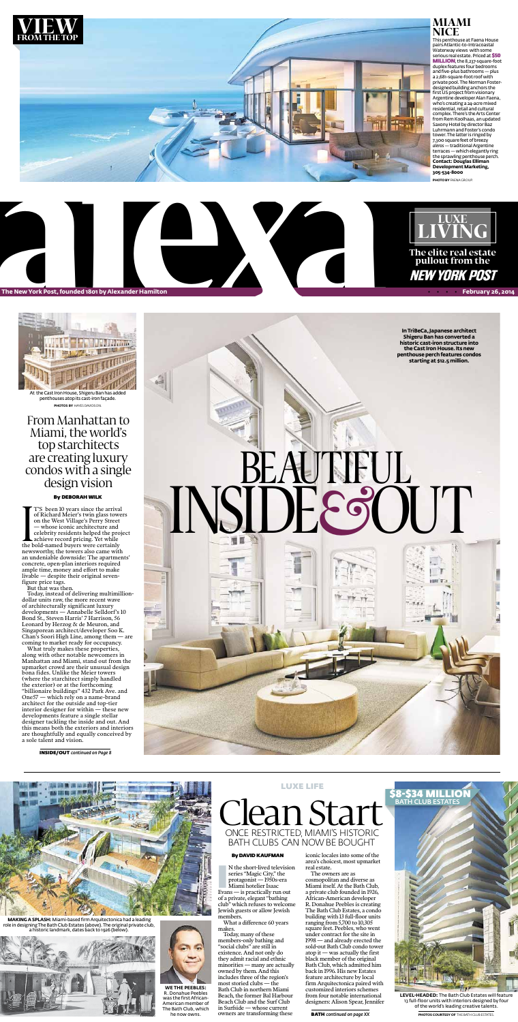N the short-lived televisio<br>series "Magic City," the<br>protagonist — 1950s-era<br>Miami hotelier Isaac<br>Evans — is practically run out N the short-lived television series "Magic City," the protagonist — 1950s-era Miami hotelier Isaac of a private, elegant "bathing club" which refuses to welcome Jewish guests or allow Jewish members.

#### ByDavid Kaufman

What a difference 60 years makes.





Today, many of these members-only bathing and "social clubs" are still in existence. And not only do they admit racial and ethnic minorities — many are actually owned by them. And this includes three of the region's most storied clubs — the Bath Club in northern Miami Beach, the former Bal Harbour Beach Club and the Surf Club in Surfside — whose current owners are transforming these

#### This penthouse at Faena House pairs Atlantic-to-Intracoastal Waterway views with some serious real estate. Priced at \$50 MILLION, the 8,237-square-foot duplex features four bedrooms and five-plus bathrooms — plus a 2,681-square-foot roof with private pool. The Norman Fosterdesigned building anchors the first US project from visionary Argentine developer Alan Faena, who's creating a 24-acre mixed residential, retail and cultural complex. There's the Arts Center from Rem Koolhaas, an updated Saxony Hotel by director Baz Luhrmann and Foster's condo tower. The latter is ringed by 7,300 square feet of breezy *aleros* — traditional Argentine terraces — which elegantly ring the sprawling penthouse perch. **Contact: Douglas Elliman Development Marketing, Miami nice**

iconic locales into some of the area's choicest, most upmarket real estate.

Internet T'S been 10 years since the arrival of Richard Meier's twin glass towers on the West Village's Perry Street whose iconic architecture and celebrity residents helped the project achieve record pricing. Yet while the bold-named buyers were certainly newsworthy, the towers also came with an undeniable downside: The apartments' concrete, open-plan interiors required ample time, money and effort to make livable — despite their original sevenfigure price tags.



The owners are as cosmopolitan and diverse as Miami itself. At the Bath Club, a private club founded in 1926, African-American developer R. Donahue Peebles is creating The Bath Club Estates, a condo building with 13 full-floor units ranging from 5,700 to 10,305 square feet. Peebles, who went under contract for the site in 1998 — and already erected the sold-out Bath Club condo tower atop it — was actually the first black member of the original Bath Club, which admitted him back in 1996. His new Estates feature architecture by local firm Arquitectonica paired with customized interiors schemes from four notable international designers: Alison Spear, Jennifer

#### Once Restricted, miami's historic bath clubs can now be bought

LUXE LIFE

**photo by** FAENA GROUP.

BATH *continued on page XX*



**Level-headed:** The Bath Club Estates will feature 13 full-floor units with interiors designed by four of the world's leading creative talents.

**We the Peebles:**  R. Donahue Peebles was the first African-American member of The Bath Club, which he now owns.

**MAKING A SPLASH:** Miami-based firm Arquitectonica had a leading role in designing The Bath Club Estates (above). The original private club, a historic landmark, dates back to 1926 (below).



**PHOTOS COURTESY OF** THE BATH CLUB ESTATES.

### From Manhattan to Miami, the world's top starchitects are creating luxury condos with a single design vision

#### By DEBORAH WILK

But that was then. instead of delivering multimillion dollar units raw, the more recent wave of architecturally significant luxury developments — Annabelle Selldorf's 10 Bond St., Steven Harris' 7 Harrison, 56 Leonard by Herzog & de Meuron, and Singaporean architect/developer Soo K. Chan's Soori High Line, among them — are coming to market ready for occupancy. What truly makes these properties, along with other notable newcomers in Manhattan and Miami, stand out from the upmarket crowd are their unusual design bona fides. Unlike the Meier towers (where the starchitect simply handled the exterior) or at the forthcoming "billionaire buildings" 432 Park Ave. and One57 — which rely on a name-brand architect for the outside and top-tier interior designer for within — these new developments feature a single stellar designer tackling the inside and out. And this means both the exteriors and interiors are thoughtfully and equally conceived by a sole talent and vision.

INSIDE/OUT *continued on Page 8*

At the Cast Iron House, Shigeru Ban has added penthouses atop its cast-iron façade. **photoS by** HAYES DAVIDSON.